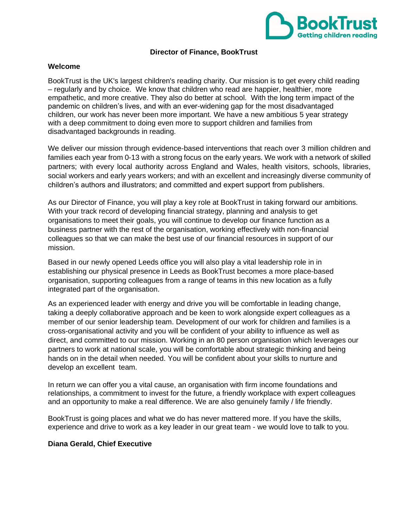

## **Director of Finance, BookTrust**

#### **Welcome**

BookTrust is the UK's largest children's reading charity. Our mission is to get every child reading – regularly and by choice. We know that children who read are happier, healthier, more empathetic, and more creative. They also do better at school. With the long term impact of the pandemic on children's lives, and with an ever-widening gap for the most disadvantaged children, our work has never been more important. We have a new ambitious 5 year strategy with a deep commitment to doing even more to support children and families from disadvantaged backgrounds in reading.

We deliver our mission through evidence-based interventions that reach over 3 million children and families each year from 0-13 with a strong focus on the early years. We work with a network of skilled partners; with every local authority across England and Wales, health visitors, schools, libraries, social workers and early years workers; and with an excellent and increasingly diverse community of children's authors and illustrators; and committed and expert support from publishers.

As our Director of Finance, you will play a key role at BookTrust in taking forward our ambitions. With your track record of developing financial strategy, planning and analysis to get organisations to meet their goals, you will continue to develop our finance function as a business partner with the rest of the organisation, working effectively with non-financial colleagues so that we can make the best use of our financial resources in support of our mission.

Based in our newly opened Leeds office you will also play a vital leadership role in in establishing our physical presence in Leeds as BookTrust becomes a more place-based organisation, supporting colleagues from a range of teams in this new location as a fully integrated part of the organisation.

As an experienced leader with energy and drive you will be comfortable in leading change, taking a deeply collaborative approach and be keen to work alongside expert colleagues as a member of our senior leadership team. Development of our work for children and families is a cross-organisational activity and you will be confident of your ability to influence as well as direct, and committed to our mission. Working in an 80 person organisation which leverages our partners to work at national scale, you will be comfortable about strategic thinking and being hands on in the detail when needed. You will be confident about your skills to nurture and develop an excellent team.

In return we can offer you a vital cause, an organisation with firm income foundations and relationships, a commitment to invest for the future, a friendly workplace with expert colleagues and an opportunity to make a real difference. We are also genuinely family / life friendly.

BookTrust is going places and what we do has never mattered more. If you have the skills, experience and drive to work as a key leader in our great team - we would love to talk to you.

#### **Diana Gerald, Chief Executive**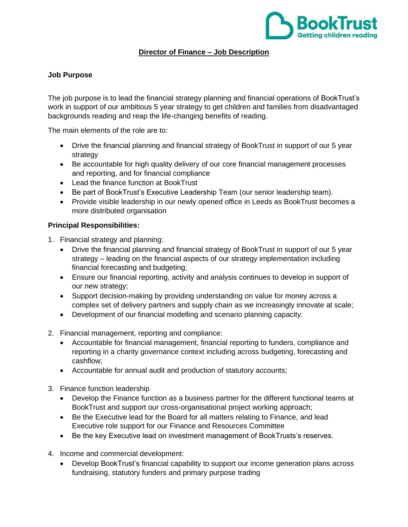

# **Director of Finance – Job Description**

# **Job Purpose**

The job purpose is to lead the financial strategy planning and financial operations of BookTrust's work in support of our ambitious 5 year strategy to get children and families from disadvantaged backgrounds reading and reap the life-changing benefits of reading.

The main elements of the role are to:

- Drive the financial planning and financial strategy of BookTrust in support of our 5 year strategy
- Be accountable for high quality delivery of our core financial management processes and reporting, and for financial compliance
- Lead the finance function at BookTrust
- Be part of BookTrust's Executive Leadership Team (our senior leadership team).
- Provide visible leadership in our newly opened office in Leeds as BookTrust becomes a more distributed organisation

# **Principal Responsibilities:**

- 1. Financial strategy and planning:
	- Drive the financial planning and financial strategy of BookTrust in support of our 5 year strategy – leading on the financial aspects of our strategy implementation including financial forecasting and budgeting;
	- Ensure our financial reporting, activity and analysis continues to develop in support of our new strategy;
	- Support decision-making by providing understanding on value for money across a complex set of delivery partners and supply chain as we increasingly innovate at scale;
	- Development of our financial modelling and scenario planning capacity.
- 2. Financial management, reporting and compliance:
	- Accountable for financial management, financial reporting to funders, compliance and reporting in a charity governance context including across budgeting, forecasting and cashflow;
	- Accountable for annual audit and production of statutory accounts;
- 3. Finance function leadership
	- Develop the Finance function as a business partner for the different functional teams at BookTrust and support our cross-organisational project working approach;
	- Be the Executive lead for the Board for all matters relating to Finance, and lead Executive role support for our Finance and Resources Committee
	- Be the key Executive lead on investment management of BookTrusts's reserves.
- 4. Income and commercial development:
	- Develop BookTrust's financial capability to support our income generation plans across fundraising, statutory funders and primary purpose trading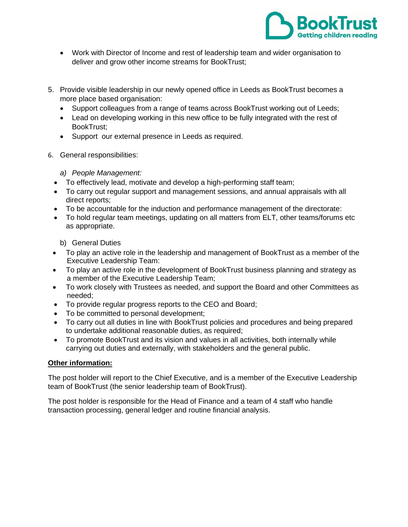

- Work with Director of Income and rest of leadership team and wider organisation to deliver and grow other income streams for BookTrust;
- 5. Provide visible leadership in our newly opened office in Leeds as BookTrust becomes a more place based organisation:
	- Support colleagues from a range of teams across BookTrust working out of Leeds;
	- Lead on developing working in this new office to be fully integrated with the rest of BookTrust;
	- Support our external presence in Leeds as required.
- 6. General responsibilities:
	- *a) People Management:*
	- To effectively lead, motivate and develop a high-performing staff team;
	- To carry out regular support and management sessions, and annual appraisals with all direct reports;
	- To be accountable for the induction and performance management of the directorate:
	- To hold regular team meetings, updating on all matters from ELT, other teams/forums etc as appropriate.

b) General Duties

- To play an active role in the leadership and management of BookTrust as a member of the Executive Leadership Team:
- To play an active role in the development of BookTrust business planning and strategy as a member of the Executive Leadership Team;
- To work closely with Trustees as needed, and support the Board and other Committees as needed;
- To provide regular progress reports to the CEO and Board;
- To be committed to personal development;
- To carry out all duties in line with BookTrust policies and procedures and being prepared to undertake additional reasonable duties, as required;
- To promote BookTrust and its vision and values in all activities, both internally while carrying out duties and externally, with stakeholders and the general public.

# **Other information:**

The post holder will report to the Chief Executive, and is a member of the Executive Leadership team of BookTrust (the senior leadership team of BookTrust).

The post holder is responsible for the Head of Finance and a team of 4 staff who handle transaction processing, general ledger and routine financial analysis.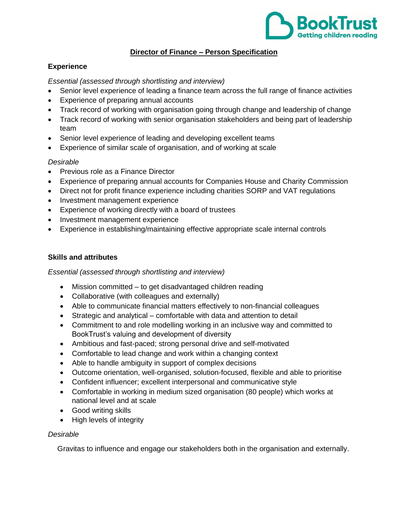

# **Director of Finance – Person Specification**

## **Experience**

*Essential (assessed through shortlisting and interview)*

- Senior level experience of leading a finance team across the full range of finance activities
- Experience of preparing annual accounts
- Track record of working with organisation going through change and leadership of change
- Track record of working with senior organisation stakeholders and being part of leadership team
- Senior level experience of leading and developing excellent teams
- Experience of similar scale of organisation, and of working at scale

#### *Desirable*

- Previous role as a Finance Director
- Experience of preparing annual accounts for Companies House and Charity Commission
- Direct not for profit finance experience including charities SORP and VAT regulations
- Investment management experience
- Experience of working directly with a board of trustees
- Investment management experience
- Experience in establishing/maintaining effective appropriate scale internal controls

#### **Skills and attributes**

#### *Essential (assessed through shortlisting and interview)*

- Mission committed to get disadvantaged children reading
- Collaborative (with colleagues and externally)
- Able to communicate financial matters effectively to non-financial colleagues
- Strategic and analytical comfortable with data and attention to detail
- Commitment to and role modelling working in an inclusive way and committed to BookTrust's valuing and development of diversity
- Ambitious and fast-paced; strong personal drive and self-motivated
- Comfortable to lead change and work within a changing context
- Able to handle ambiguity in support of complex decisions
- Outcome orientation, well-organised, solution-focused, flexible and able to prioritise
- Confident influencer; excellent interpersonal and communicative style
- Comfortable in working in medium sized organisation (80 people) which works at national level and at scale
- Good writing skills
- High levels of integrity

# *Desirable*

Gravitas to influence and engage our stakeholders both in the organisation and externally.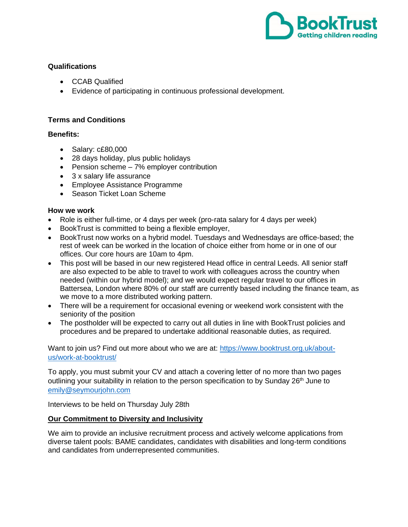

## **Qualifications**

- CCAB Qualified
- Evidence of participating in continuous professional development.

# **Terms and Conditions**

# **Benefits:**

- Salary: c£80,000
- 28 days holiday, plus public holidays
- Pension scheme 7% employer contribution
- 3 x salary life assurance
- Employee Assistance Programme
- Season Ticket Loan Scheme

# **How we work**

- Role is either full-time, or 4 days per week (pro-rata salary for 4 days per week)
- BookTrust is committed to being a flexible employer,
- BookTrust now works on a hybrid model. Tuesdays and Wednesdays are office-based; the rest of week can be worked in the location of choice either from home or in one of our offices. Our core hours are 10am to 4pm.
- This post will be based in our new registered Head office in central Leeds. All senior staff are also expected to be able to travel to work with colleagues across the country when needed (within our hybrid model); and we would expect regular travel to our offices in Battersea, London where 80% of our staff are currently based including the finance team, as we move to a more distributed working pattern.
- There will be a requirement for occasional evening or weekend work consistent with the seniority of the position
- The postholder will be expected to carry out all duties in line with BookTrust policies and procedures and be prepared to undertake additional reasonable duties, as required.

Want to join us? Find out more about who we are at: [https://www.booktrust.org.uk/about](https://www.booktrust.org.uk/about-us/work-at-booktrust/)[us/work-at-booktrust/](https://www.booktrust.org.uk/about-us/work-at-booktrust/)

To apply, you must submit your CV and attach a covering letter of no more than two pages outlining your suitability in relation to the person specification to by Sunday 26<sup>th</sup> June to [emily@seymourjohn.com](mailto:emily@seymourjohn.com)

Interviews to be held on Thursday July 28th

# **Our Commitment to Diversity and Inclusivity**

We aim to provide an inclusive recruitment process and actively welcome applications from diverse talent pools: BAME candidates, candidates with disabilities and long-term conditions and candidates from underrepresented communities.